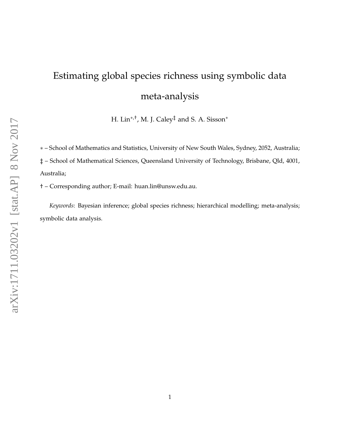# Estimating global species richness using symbolic data meta-analysis

H. Lin∗,†, M. J. Caley‡ and S. A. Sisson<sup>∗</sup>

∗ – School of Mathematics and Statistics, University of New South Wales, Sydney, 2052, Australia; ‡ – School of Mathematical Sciences, Queensland University of Technology, Brisbane, Qld, 4001, Australia;

† – Corresponding author; E-mail: huan.lin@unsw.edu.au.

*Keywords*: Bayesian inference; global species richness; hierarchical modelling; meta-analysis; symbolic data analysis.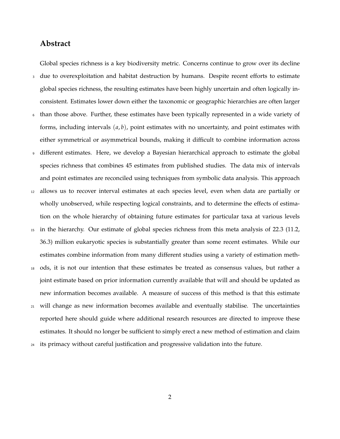# **Abstract**

Global species richness is a key biodiversity metric. Concerns continue to grow over its decline

- <sup>3</sup> due to overexploitation and habitat destruction by humans. Despite recent efforts to estimate global species richness, the resulting estimates have been highly uncertain and often logically inconsistent. Estimates lower down either the taxonomic or geographic hierarchies are often larger
- <sup>6</sup> than those above. Further, these estimates have been typically represented in a wide variety of forms, including intervals (*a*, *b*), point estimates with no uncertainty, and point estimates with either symmetrical or asymmetrical bounds, making it difficult to combine information across
- <sup>9</sup> different estimates. Here, we develop a Bayesian hierarchical approach to estimate the global species richness that combines 45 estimates from published studies. The data mix of intervals and point estimates are reconciled using techniques from symbolic data analysis. This approach
- <sup>12</sup> allows us to recover interval estimates at each species level, even when data are partially or wholly unobserved, while respecting logical constraints, and to determine the effects of estimation on the whole hierarchy of obtaining future estimates for particular taxa at various levels
- <sup>15</sup> in the hierarchy. Our estimate of global species richness from this meta analysis of 22.3 (11.2, 36.3) million eukaryotic species is substantially greater than some recent estimates. While our estimates combine information from many different studies using a variety of estimation meth-
- <sup>18</sup> ods, it is not our intention that these estimates be treated as consensus values, but rather a joint estimate based on prior information currently available that will and should be updated as new information becomes available. A measure of success of this method is that this estimate
- <sup>21</sup> will change as new information becomes available and eventually stabilise. The uncertainties reported here should guide where additional research resources are directed to improve these estimates. It should no longer be sufficient to simply erect a new method of estimation and claim
- <sup>24</sup> its primacy without careful justification and progressive validation into the future.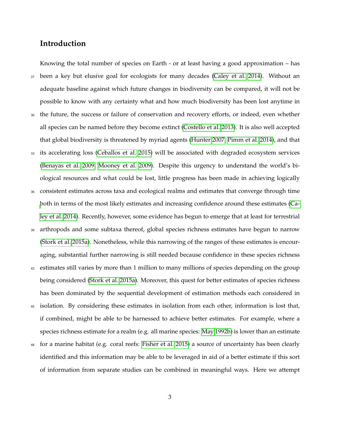# **Introduction**

Knowing the total number of species on Earth - or at least having a good approximation – has <sup>27</sup> been a key but elusive goal for ecologists for many decades [\(Caley et al. 2014\)](#page-22-0). Without an adequate baseline against which future changes in biodiversity can be compared, it will not be possible to know with any certainty what and how much biodiversity has been lost anytime in the future, the success or failure of conservation and recovery efforts, or indeed, even whether all species can be named before they become extinct [\(Costello et al. 2013\)](#page-22-1). It is also well accepted that global biodiversity is threatened by myriad agents [\(Hunter 2007,](#page-24-0) [Pimm et al. 2014\)](#page-25-0), and that <sup>33</sup> its accelerating loss [\(Ceballos et al. 2015\)](#page-22-2) will be associated with degraded ecosystem services [\(Benayas et al. 2009,](#page-22-3) [Mooney et al. 2009\)](#page-24-1). Despite this urgency to understand the world's biological resources and what could be lost, little progress has been made in achieving logically <sup>36</sup> consistent estimates across taxa and ecological realms and estimates that converge through time [b](#page-22-0)oth in terms of the most likely estimates and increasing confidence around these estimates [\(Ca](#page-22-0)[ley et al. 2014\)](#page-22-0). Recently, however, some evidence has begun to emerge that at least for terrestrial <sup>39</sup> arthropods and some subtaxa thereof, global species richness estimates have begun to narrow [\(Stork et al. 2015a\)](#page-26-0). Nonetheless, while this narrowing of the ranges of these estimates is encouraging, substantial further narrowing is still needed because confidence in these species richness <sup>42</sup> estimates still varies by more than 1 million to many millions of species depending on the group

- being considered [\(Stork et al. 2015a\)](#page-26-0). Moreover, this quest for better estimates of species richness has been dominated by the sequential development of estimation methods each considered in
- <sup>45</sup> isolation. By considering these estimates in isolation from each other, information is lost that, if combined, might be able to be harnessed to achieve better estimates. For example, where a species richness estimate for a realm (e.g. all marine species: [May 1992b\)](#page-24-2) is lower than an estimate
- <sup>48</sup> for a marine habitat (e.g. coral reefs: [Fisher et al. 2015\)](#page-23-0) a source of uncertainty has been clearly identified and this information may be able to be leveraged in aid of a better estimate if this sort of information from separate studies can be combined in meaningful ways. Here we attempt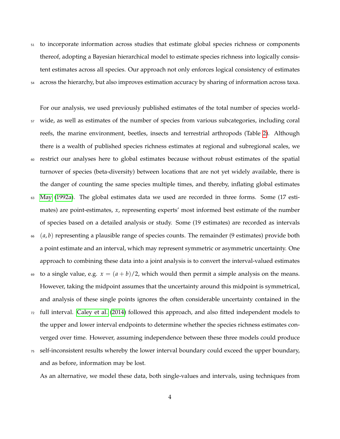<sup>51</sup> to incorporate information across studies that estimate global species richness or components thereof, adopting a Bayesian hierarchical model to estimate species richness into logically consistent estimates across all species. Our approach not only enforces logical consistency of estimates <sup>54</sup> across the hierarchy, but also improves estimation accuracy by sharing of information across taxa.

For our analysis, we used previously published estimates of the total number of species world-<sup>57</sup> wide, as well as estimates of the number of species from various subcategories, including coral reefs, the marine environment, beetles, insects and terrestrial arthropods (Table [2\)](#page-27-0). Although there is a wealth of published species richness estimates at regional and subregional scales, we <sup>60</sup> restrict our analyses here to global estimates because without robust estimates of the spatial turnover of species (beta-diversity) between locations that are not yet widely available, there is the danger of counting the same species multiple times, and thereby, inflating global estimates <sup>63</sup> [May](#page-24-3) [\(1992a\)](#page-24-3). The global estimates data we used are recorded in three forms. Some (17 estimates) are point-estimates, *x*, representing experts' most informed best estimate of the number of species based on a detailed analysis or study. Some (19 estimates) are recorded as intervals <sup>66</sup> (*a*, *b*) representing a plausible range of species counts. The remainder (9 estimates) provide both

a point estimate and an interval, which may represent symmetric or asymmetric uncertainty. One approach to combining these data into a joint analysis is to convert the interval-valued estimates

69 to a single value, e.g.  $x = (a + b)/2$ , which would then permit a simple analysis on the means. However, taking the midpoint assumes that the uncertainty around this midpoint is symmetrical, and analysis of these single points ignores the often considerable uncertainty contained in the

- $72$  full interval. [Caley et al.](#page-22-0) [\(2014\)](#page-22-0) followed this approach, and also fitted independent models to the upper and lower interval endpoints to determine whether the species richness estimates converged over time. However, assuming independence between these three models could produce
- <sup>75</sup> self-inconsistent results whereby the lower interval boundary could exceed the upper boundary, and as before, information may be lost.

As an alternative, we model these data, both single-values and intervals, using techniques from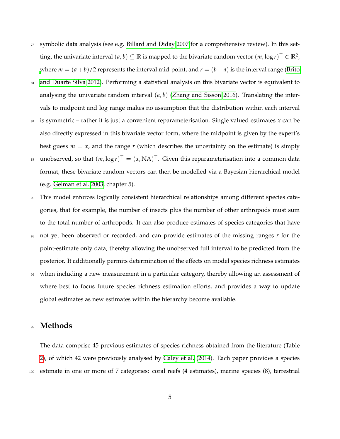- $78$  symbolic data analysis (see e.g. [Billard and Diday 2007](#page-22-4) for a comprehensive review). In this setting, the univariate interval  $(a, b) \subseteq \mathbb{R}$  is mapped to the bivariate random vector  $(m, \log r)^\top \in \mathbb{R}^2$ , [w](#page-22-5)here  $m = (a + b)/2$  represents the interval mid-point, and  $r = (b - a)$  is the interval range [\(Brito](#page-22-5)
- 81 [and Duarte Silva 2012\)](#page-22-5). Performing a statistical analysis on this bivariate vector is equivalent to analysing the univariate random interval (*a*, *b*) [\(Zhang and Sisson 2016\)](#page-26-1). Translating the intervals to midpoint and log range makes no assumption that the distribution within each interval
- $84$  is symmetric rather it is just a convenient reparameterisation. Single valued estimates x can be also directly expressed in this bivariate vector form, where the midpoint is given by the expert's best guess  $m = x$ , and the range  $r$  (which describes the uncertainty on the estimate) is simply
- $_{37}$  unobserved, so that  $(m, \log r)^{\top} = (x, \text{NA})^{\top}$ . Given this reparameterisation into a common data format, these bivariate random vectors can then be modelled via a Bayesian hierarchical model (e.g. [Gelman et al. 2003,](#page-23-1) chapter 5).
- <sup>90</sup> This model enforces logically consistent hierarchical relationships among different species categories, that for example, the number of insects plus the number of other arthropods must sum to the total number of arthropods. It can also produce estimates of species categories that have
- <sup>93</sup> not yet been observed or recorded, and can provide estimates of the missing ranges *r* for the point-estimate only data, thereby allowing the unobserved full interval to be predicted from the posterior. It additionally permits determination of the effects on model species richness estimates
- <sup>96</sup> when including a new measurement in a particular category, thereby allowing an assessment of where best to focus future species richness estimation efforts, and provides a way to update global estimates as new estimates within the hierarchy become available.

### <sup>99</sup> **Methods**

The data comprise 45 previous estimates of species richness obtained from the literature (Table [2\)](#page-27-0), of which 42 were previously analysed by [Caley et al.](#page-22-0) [\(2014\)](#page-22-0). Each paper provides a species <sup>102</sup> estimate in one or more of 7 categories: coral reefs (4 estimates), marine species (8), terrestrial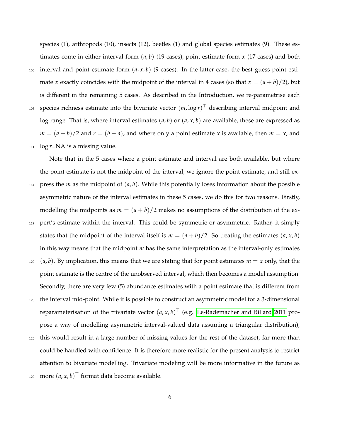species (1), arthropods (10), insects (12), beetles (1) and global species estimates (9). These estimates come in either interval form (*a*, *b*) (19 cases), point estimate form *x* (17 cases) and both

105 interval and point estimate form  $(a, x, b)$  (9 cases). In the latter case, the best guess point estimate *x* exactly coincides with the midpoint of the interval in 4 cases (so that  $x = (a + b)/2$ ), but is different in the remaining 5 cases. As described in the Introduction, we re-parametrise each 108 species richness estimate into the bivariate vector  $(m, \log r)^{\top}$  describing interval midpoint and log range. That is, where interval estimates (*a*, *b*) or (*a*, *x*, *b*) are available, these are expressed as  $m = (a + b)/2$  and  $r = (b - a)$ , and where only a point estimate *x* is available, then  $m = x$ , and  $log r = NA$  is a missing value.

Note that in the 5 cases where a point estimate and interval are both available, but where the point estimate is not the midpoint of the interval, we ignore the point estimate, and still ex-114 press the *m* as the midpoint of  $(a, b)$ . While this potentially loses information about the possible asymmetric nature of the interval estimates in these 5 cases, we do this for two reasons. Firstly, modelling the midpoints as  $m = (a + b)/2$  makes no assumptions of the distribution of the ex-<sup>117</sup> pert's estimate within the interval. This could be symmetric or asymmetric. Rather, it simply states that the midpoint of the interval itself is  $m = (a + b)/2$ . So treating the estimates  $(a, x, b)$ in this way means that the midpoint *m* has the same interpretation as the interval-only estimates  $120$  (*a*, *b*). By implication, this means that we are stating that for point estimates  $m = x$  only, that the point estimate is the centre of the unobserved interval, which then becomes a model assumption. Secondly, there are very few (5) abundance estimates with a point estimate that is different from <sup>123</sup> the interval mid-point. While it is possible to construct an asymmetric model for a 3-dimensional

reparameterisation of the trivariate vector  $(a, x, b)^\top$  (e.g. [Le-Rademacher and Billard 2011](#page-24-4) propose a way of modelling asymmetric interval-valued data assuming a triangular distribution),

<sup>126</sup> this would result in a large number of missing values for the rest of the dataset, far more than could be handled with confidence. It is therefore more realistic for the present analysis to restrict attention to bivariate modelling. Trivariate modeling will be more informative in the future as 129 more  $(a, x, b)$ <sup>T</sup> format data become available.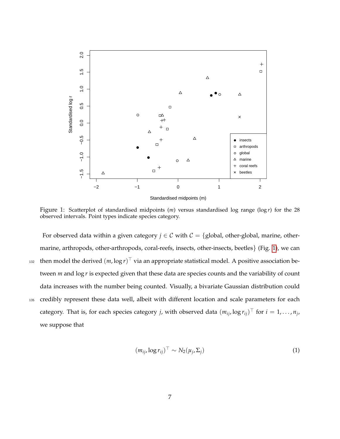<span id="page-6-0"></span>

Figure 1: Scatterplot of standardised midpoints (*m*) versus standardised log range (log *r*) for the 28 observed intervals. Point types indicate species category.

For observed data within a given category  $j \in C$  with  $C = \{$ global, other-global, marine, othermarine, arthropods, other-arthropods, coral-reefs, insects, other-insects, beetles} (Fig. [1\)](#page-6-0), we can  $\Delta_{132}$  then model the derived  $(m, \log r)^{\top}$  via an appropriate statistical model. A positive association between *m* and log *r* is expected given that these data are species counts and the variability of count data increases with the number being counted. Visually, a bivariate Gaussian distribution could <sup>135</sup> credibly represent these data well, albeit with different location and scale parameters for each category. That is, for each species category *j*, with observed data  $(m_{ij}, \log r_{ij})^{\top}$  for  $i = 1, ..., n_j$ , we suppose that

<span id="page-6-1"></span> $(m_{ij}, \log r_{ij})^{\top} \sim N_2(\mu_j)$  $(\mathbf{I})$  (1)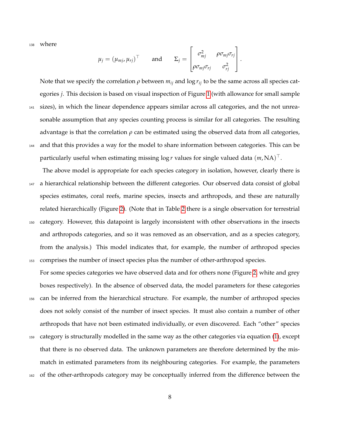<sup>138</sup> where

$$
\mu_j = (\mu_{mj}, \mu_{rj})^\top \quad \text{and} \quad \Sigma_j = \begin{bmatrix} \sigma_{mj}^2 & \rho \sigma_{mj} \sigma_{rj} \\ \rho \sigma_{mj} \sigma_{rj} & \sigma_{rj}^2 \end{bmatrix}.
$$

Note that we specify the correlation  $\rho$  between  $m_{ij}$  and log  $r_{ij}$  to be the same across all species categories *j*. This decision is based on visual inspection of Figure [1](#page-6-0) (with allowance for small sample <sup>141</sup> sizes), in which the linear dependence appears similar across all categories, and the not unreasonable assumption that any species counting process is similar for all categories. The resulting advantage is that the correlation  $\rho$  can be estimated using the observed data from all categories, <sup>144</sup> and that this provides a way for the model to share information between categories. This can be particularly useful when estimating missing  $\log r$  values for single valued data  $(m, \mathrm{NA})^\top.$ 

The above model is appropriate for each species category in isolation, however, clearly there is <sup>147</sup> a hierarchical relationship between the different categories. Our observed data consist of global species estimates, coral reefs, marine species, insects and arthropods, and these are naturally related hierarchically (Figure [2\)](#page-8-0). (Note that in Table [2](#page-27-0) there is a single observation for terrestrial <sup>150</sup> category. However, this datapoint is largely inconsistent with other observations in the insects and arthropods categories, and so it was removed as an observation, and as a species category, from the analysis.) This model indicates that, for example, the number of arthropod species <sup>153</sup> comprises the number of insect species plus the number of other-arthropod species.

For some species categories we have observed data and for others none (Figure [2,](#page-8-0) white and grey boxes respectively). In the absence of observed data, the model parameters for these categories <sup>156</sup> can be inferred from the hierarchical structure. For example, the number of arthropod species does not solely consist of the number of insect species. It must also contain a number of other arthropods that have not been estimated individually, or even discovered. Each "other" species <sup>159</sup> category is structurally modelled in the same way as the other categories via equation [\(1\)](#page-6-1), except that there is no observed data. The unknown parameters are therefore determined by the mismatch in estimated parameters from its neighbouring categories. For example, the parameters <sup>162</sup> of the other-arthropods category may be conceptually inferred from the difference between the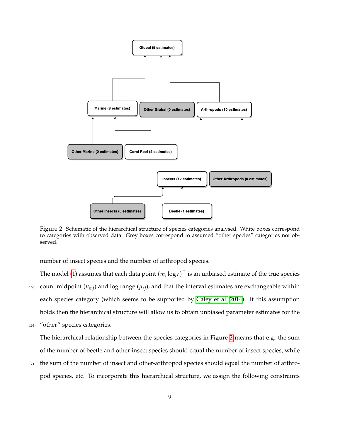<span id="page-8-0"></span>

Figure 2: Schematic of the hierarchical structure of species categories analysed. White boxes correspond to categories with observed data. Grey boxes correspond to assumed "other species" categories not observed.

number of insect species and the number of arthropod species.

- The model [\(1\)](#page-6-1) assumes that each data point  $(m, \log r)^\top$  is an unbiased estimate of the true species  $_{165}$  count midpoint ( $\mu_{mi}$ ) and log range ( $\mu_{ri}$ ), and that the interval estimates are exchangeable within each species category (which seems to be supported by [Caley et al. 2014\)](#page-22-0). If this assumption holds then the hierarchical structure will allow us to obtain unbiased parameter estimates for the
- <sup>168</sup> "other" species categories.

The hierarchical relationship between the species categories in Figure [2](#page-8-0) means that e.g. the sum of the number of beetle and other-insect species should equal the number of insect species, while

<sup>171</sup> the sum of the number of insect and other-arthropod species should equal the number of arthropod species, etc. To incorporate this hierarchical structure, we assign the following constraints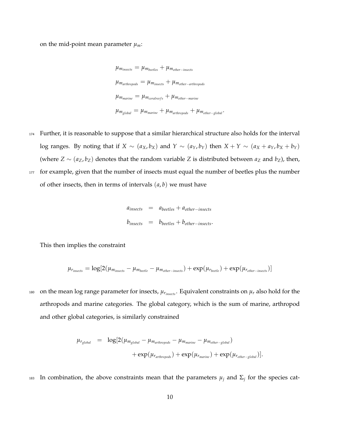on the mid-point mean parameter  $\mu_m$ :

$$
\mu_{m_{insects}} = \mu_{m_{beetles}} + \mu_{m_{other-insects}}
$$
\n
$$
\mu_{m_{arthropods}} = \mu_{m_{insects}} + \mu_{m_{other-arthropods}}
$$
\n
$$
\mu_{m_{marine}} = \mu_{m_{coralreefs}} + \mu_{m_{other-marine}}
$$
\n
$$
\mu_{m_{global}} = \mu_{m_{marine}} + \mu_{m_{arthropods}} + \mu_{m_{other-global}}.
$$

- 174 Further, it is reasonable to suppose that a similar hierarchical structure also holds for the interval log ranges. By noting that if  $X \sim (a_X, b_X)$  and  $Y \sim (a_Y, b_Y)$  then  $X + Y \sim (a_X + a_Y, b_X + b_Y)$ (where  $Z \sim (a_Z, b_Z)$  denotes that the random variable *Z* is distributed between  $a_Z$  and  $b_Z$ ), then, 177 for example, given that the number of insects must equal the number of beetles plus the number
	- of other insects, then in terms of intervals (*a*, *b*) we must have

$$
a_{insects} = a_{beetles} + a_{other-insects}
$$
  

$$
b_{insects} = b_{beetles} + b_{other-insects}.
$$

This then implies the constraint

$$
\mu_{r_{insects}} = \log[2(\mu_{m_{insects}} - \mu_{m_{beetle}} - \mu_{m_{other-insects}}) + \exp(\mu_{r_{beetle}}) + \exp(\mu_{r_{other-insects}})]
$$

180 on the mean log range parameter for insects,  $\mu_{r_{insects}}$ . Equivalent constraints on  $\mu_r$  also hold for the arthropods and marine categories. The global category, which is the sum of marine, arthropod and other global categories, is similarly constrained

$$
\mu_{r_{global}} = \log[2(\mu_{m_{global}} - \mu_{m_{arthropods}} - \mu_{m_{marine}} - \mu_{m_{other-global}}) + \exp(\mu_{r_{arthropods}}) + \exp(\mu_{r_{arthropods}}) + \exp(\mu_{r_{marine}}) + \exp(\mu_{r_{other-global}})].
$$

 $I<sub>183</sub>$  In combination, the above constraints mean that the parameters  $\mu_j$  and  $\Sigma_j$  for the species cat-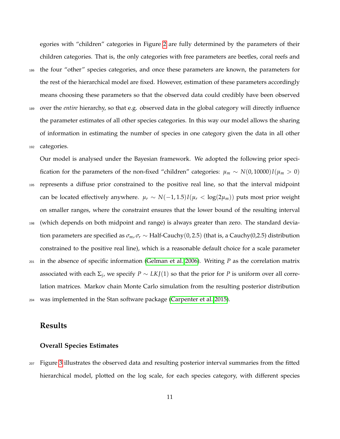egories with "children" categories in Figure [2](#page-8-0) are fully determined by the parameters of their children categories. That is, the only categories with free parameters are beetles, coral reefs and

<sup>186</sup> the four "other" species categories, and once these parameters are known, the parameters for the rest of the hierarchical model are fixed. However, estimation of these parameters accordingly means choosing these parameters so that the observed data could credibly have been observed <sup>189</sup> over the *entire* hierarchy, so that e.g. observed data in the global category will directly influence the parameter estimates of all other species categories. In this way our model allows the sharing of information in estimating the number of species in one category given the data in all other

<sup>192</sup> categories.

Our model is analysed under the Bayesian framework. We adopted the following prior specification for the parameters of the non-fixed "children" categories:  $\mu_m \sim N(0, 10000)I(\mu_m > 0)$ <sup>195</sup> represents a diffuse prior constrained to the positive real line, so that the interval midpoint can be located effectively anywhere.  $\mu_r \sim N(-1, 1.5)I(\mu_r < \log(2\mu_m))$  puts most prior weight on smaller ranges, where the constraint ensures that the lower bound of the resulting interval <sup>198</sup> (which depends on both midpoint and range) is always greater than zero. The standard deviation parameters are specified as  $\sigma_m$ ,  $\sigma_r \sim \text{Half-Cauchy}(0, 2.5)$  (that is, a Cauchy(0,2.5) distribution constrained to the positive real line), which is a reasonable default choice for a scale parameter <sup>201</sup> in the absence of specific information [\(Gelman et al. 2006\)](#page-23-2). Writing *P* as the correlation matrix associated with each  $\Sigma_j$ , we specify  $P \sim LKJ(1)$  so that the prior for  $P$  is uniform over all correlation matrices. Markov chain Monte Carlo simulation from the resulting posterior distribution <sup>204</sup> was implemented in the Stan software package [\(Carpenter et al. 2015\)](#page-22-6).

## **Results**

#### **Overall Species Estimates**

<sup>207</sup> Figure [3](#page-12-0) illustrates the observed data and resulting posterior interval summaries from the fitted hierarchical model, plotted on the log scale, for each species category, with different species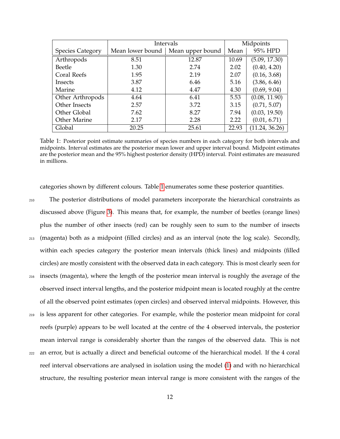<span id="page-11-0"></span>

|                         | Intervals        | Midpoints        |       |                |
|-------------------------|------------------|------------------|-------|----------------|
| <b>Species Category</b> | Mean lower bound | Mean upper bound | Mean  | 95% HPD        |
| Arthropods              | 8.51             | 12.87            | 10.69 | (5.09, 17.30)  |
| Beetle                  | 1.30             | 2.74             | 2.02  | (0.40, 4.20)   |
| Coral Reefs             | 1.95             | 2.19             | 2.07  | (0.16, 3.68)   |
| Insects                 | 3.87             | 6.46             | 5.16  | (3.86, 6.46)   |
| Marine                  | 4.12             | 4.47             | 4.30  | (0.69, 9.04)   |
| Other Arthropods        | 4.64             | 6.41             | 5.53  | (0.08, 11.90)  |
| Other Insects           | 2.57             | 3.72             | 3.15  | (0.71, 5.07)   |
| Other Global            | 7.62             | 8.27             | 7.94  | (0.03, 19.50)  |
| Other Marine            | 2.17             | 2.28             | 2.22  | (0.01, 6.71)   |
| Global                  | 20.25            | 25.61            | 22.93 | (11.24, 36.26) |

Table 1: Posterior point estimate summaries of species numbers in each category for both intervals and midpoints. Interval estimates are the posterior mean lower and upper interval bound. Midpoint estimates are the posterior mean and the 95% highest posterior density (HPD) interval. Point estimates are measured in millions.

categories shown by different colours. Table [1](#page-11-0) enumerates some these posterior quantities.

<sup>210</sup> The posterior distributions of model parameters incorporate the hierarchical constraints as discussed above (Figure [3\)](#page-12-0). This means that, for example, the number of beetles (orange lines) plus the number of other insects (red) can be roughly seen to sum to the number of insects <sup>213</sup> (magenta) both as a midpoint (filled circles) and as an interval (note the log scale). Secondly, within each species category the posterior mean intervals (thick lines) and midpoints (filled circles) are mostly consistent with the observed data in each category. This is most clearly seen for <sup>216</sup> insects (magenta), where the length of the posterior mean interval is roughly the average of the observed insect interval lengths, and the posterior midpoint mean is located roughly at the centre of all the observed point estimates (open circles) and observed interval midpoints. However, this <sup>219</sup> is less apparent for other categories. For example, while the posterior mean midpoint for coral reefs (purple) appears to be well located at the centre of the 4 observed intervals, the posterior mean interval range is considerably shorter than the ranges of the observed data. This is not <sup>222</sup> an error, but is actually a direct and beneficial outcome of the hierarchical model. If the 4 coral reef interval observations are analysed in isolation using the model [\(1\)](#page-6-1) and with no hierarchical structure, the resulting posterior mean interval range is more consistent with the ranges of the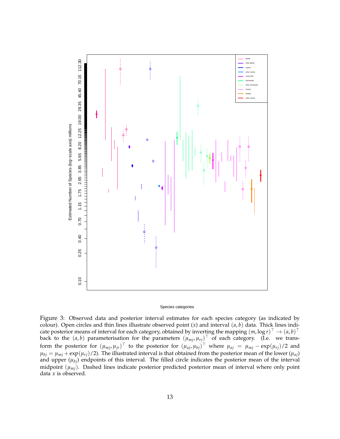<span id="page-12-0"></span>

#### Species categories

Figure 3: Observed data and posterior interval estimates for each species category (as indicated by colour). Open circles and thin lines illustrate observed point (*x*) and interval (*a*, *b*) data. Thick lines indicate posterior means of interval for each category, obtained by inverting the mapping  $(m, \log r)^{\top} \to (a, b)^{\top}$ back to the  $(a, b)$  parameterisation for the parameters  $(\mu_{mj}, \mu_{rj})^\top$  of each category. (I.e. we transform the posterior for  $(\mu_{mj}, \mu_{jr})^\top$  to the posterior for  $(\mu_{aj}, \mu_{bj})^\top$  where  $\mu_{aj} = \mu_{mj} - \exp(\mu_{rj})/2$  and  $\mu_{bj} = \mu_{mj} + \exp(\mu_{rj})/2$ ). The illustrated interval is that obtained from the posterior mean of the lower ( $\mu_{aj}$ ) and upper  $(\mu_{bj})$  endpoints of this interval. The filled circle indicates the posterior mean of the interval midpoint (*µmj*). Dashed lines indicate posterior predicted posterior mean of interval where only point data *x* is observed.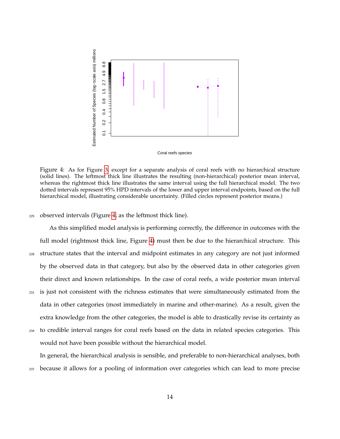<span id="page-13-0"></span>



Figure 4: As for Figure [3,](#page-12-0) except for a separate analysis of coral reefs with no hierarchical structure (solid lines). The leftmost thick line illustrates the resulting (non-hierarchical) posterior mean interval, whereas the rightmost thick line illustrates the same interval using the full hierarchical model. The two dotted intervals represent 95% HPD intervals of the lower and upper interval endpoints, based on the full hierarchical model, illustrating considerable uncertainty. (Filled circles represent posterior means.)

<sup>225</sup> observed intervals (Figure [4,](#page-13-0) as the leftmost thick line).

As this simplified model analysis is performing correctly, the difference in outcomes with the full model (rightmost thick line, Figure [4\)](#page-13-0) must then be due to the hierarchical structure. This <sup>228</sup> structure states that the interval and midpoint estimates in any category are not just informed by the observed data in that category, but also by the observed data in other categories given their direct and known relationships. In the case of coral reefs, a wide posterior mean interval <sup>231</sup> is just not consistent with the richness estimates that were simultaneously estimated from the

- data in other categories (most immediately in marine and other-marine). As a result, given the extra knowledge from the other categories, the model is able to drastically revise its certainty as
- <sup>234</sup> to credible interval ranges for coral reefs based on the data in related species categories. This would not have been possible without the hierarchical model.

In general, the hierarchical analysis is sensible, and preferable to non-hierarchical analyses, both <sup>237</sup> because it allows for a pooling of information over categories which can lead to more precise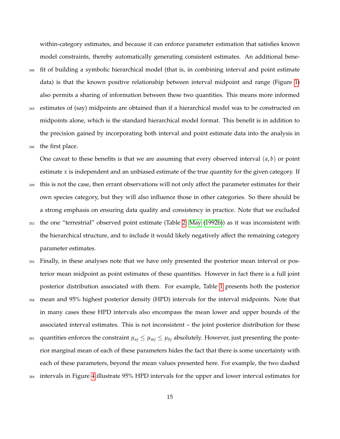within-category estimates, and because it can enforce parameter estimation that satisfies known model constraints, thereby automatically generating consistent estimates. An additional bene-<sup>240</sup> fit of building a symbolic hierarchical model (that is, in combining interval and point estimate data) is that the known positive relationship between interval midpoint and range (Figure [1\)](#page-6-0) also permits a sharing of information between these two quantities. This means more informed <sup>243</sup> estimates of (say) midpoints are obtained than if a hierarchical model was to be constructed on midpoints alone, which is the standard hierarchical model format. This benefit is in addition to the precision gained by incorporating both interval and point estimate data into the analysis in <sup>246</sup> the first place.

One caveat to these benefits is that we are assuming that every observed interval (*a*, *b*) or point estimate *x* is independent and an unbiased estimate of the true quantity for the given category. If

- <sup>249</sup> this is not the case, then errant observations will not only affect the parameter estimates for their own species category, but they will also influence those in other categories. So there should be a strong emphasis on ensuring data quality and consistency in practice. Note that we excluded
- <sup>252</sup> the one "terrestrial" observed point estimate (Table [2;](#page-27-0) [May](#page-24-2) [\(1992b\)](#page-24-2)) as it was inconsistent with the hierarchical structure, and to include it would likely negatively affect the remaining category parameter estimates.
- <sup>255</sup> Finally, in these analyses note that we have only presented the posterior mean interval or posterior mean midpoint as point estimates of these quantities. However in fact there is a full joint posterior distribution associated with them. For example, Table [1](#page-11-0) presents both the posterior <sup>258</sup> mean and 95% highest posterior density (HPD) intervals for the interval midpoints. Note that in many cases these HPD intervals also encompass the mean lower and upper bounds of the associated interval estimates. This is not inconsistent – the joint posterior distribution for these
- <sup>261</sup> quantities enforces the constraint  $\mu_{aj} \leq \mu_{mj} \leq \mu_{bj}$  absolutely. However, just presenting the posterior marginal mean of each of these parameters hides the fact that there is some uncertainty with each of these parameters, beyond the mean values presented here. For example, the two dashed <sup>264</sup> intervals in Figure [4](#page-13-0) illustrate 95% HPD intervals for the upper and lower interval estimates for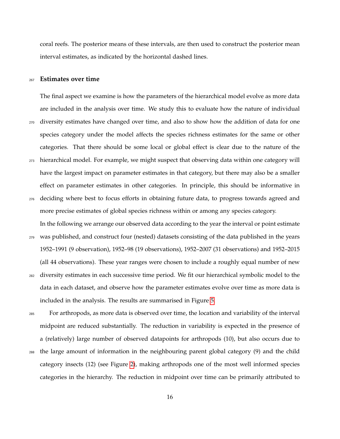coral reefs. The posterior means of these intervals, are then used to construct the posterior mean interval estimates, as indicated by the horizontal dashed lines.

#### <sup>267</sup> **Estimates over time**

The final aspect we examine is how the parameters of the hierarchical model evolve as more data are included in the analysis over time. We study this to evaluate how the nature of individual <sup>270</sup> diversity estimates have changed over time, and also to show how the addition of data for one species category under the model affects the species richness estimates for the same or other categories. That there should be some local or global effect is clear due to the nature of the <sup>273</sup> hierarchical model. For example, we might suspect that observing data within one category will have the largest impact on parameter estimates in that category, but there may also be a smaller effect on parameter estimates in other categories. In principle, this should be informative in <sup>276</sup> deciding where best to focus efforts in obtaining future data, to progress towards agreed and more precise estimates of global species richness within or among any species category.

In the following we arrange our observed data according to the year the interval or point estimate <sup>279</sup> was published, and construct four (nested) datasets consisting of the data published in the years 1952–1991 (9 observation), 1952–98 (19 observations), 1952–2007 (31 observations) and 1952–2015 (all 44 observations). These year ranges were chosen to include a roughly equal number of new <sup>282</sup> diversity estimates in each successive time period. We fit our hierarchical symbolic model to the data in each dataset, and observe how the parameter estimates evolve over time as more data is included in the analysis. The results are summarised in Figure [5.](#page-18-0)

<sup>285</sup> For arthropods, as more data is observed over time, the location and variability of the interval midpoint are reduced substantially. The reduction in variability is expected in the presence of a (relatively) large number of observed datapoints for arthropods (10), but also occurs due to <sup>288</sup> the large amount of information in the neighbouring parent global category (9) and the child category insects (12) (see Figure [2\)](#page-8-0), making arthropods one of the most well informed species categories in the hierarchy. The reduction in midpoint over time can be primarily attributed to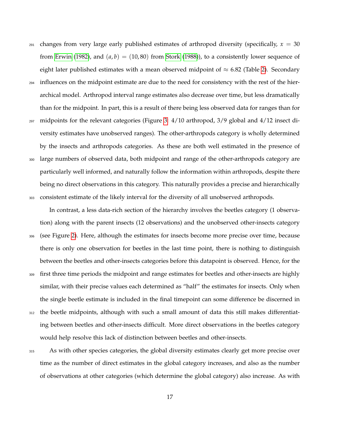$_{291}$  changes from very large early published estimates of arthropod diversity (specifically,  $x = 30$ from [Erwin](#page-23-3) [\(1982\)](#page-23-3), and  $(a, b) = (10, 80)$  from [Stork](#page-26-2) [\(1988\)](#page-26-2)), to a consistently lower sequence of eight later published estimates with a mean observed midpoint of  $\approx 6.82$  (Table [2\)](#page-27-0). Secondary <sup>294</sup> influences on the midpoint estimate are due to the need for consistency with the rest of the hierarchical model. Arthropod interval range estimates also decrease over time, but less dramatically than for the midpoint. In part, this is a result of there being less observed data for ranges than for <sup>297</sup> midpoints for the relevant categories (Figure [3:](#page-12-0) 4/10 arthropod, 3/9 global and 4/12 insect diversity estimates have unobserved ranges). The other-arthropods category is wholly determined by the insects and arthropods categories. As these are both well estimated in the presence of <sup>300</sup> large numbers of observed data, both midpoint and range of the other-arthropods category are particularly well informed, and naturally follow the information within arthropods, despite there

being no direct observations in this category. This naturally provides a precise and hierarchically <sup>303</sup> consistent estimate of the likely interval for the diversity of all unobserved arthropods.

In contrast, a less data-rich section of the hierarchy involves the beetles category (1 observation) along with the parent insects (12 observations) and the unobserved other-insects category <sup>306</sup> (see Figure [2\)](#page-8-0). Here, although the estimates for insects become more precise over time, because there is only one observation for beetles in the last time point, there is nothing to distinguish between the beetles and other-insects categories before this datapoint is observed. Hence, for the <sup>309</sup> first three time periods the midpoint and range estimates for beetles and other-insects are highly similar, with their precise values each determined as "half" the estimates for insects. Only when the single beetle estimate is included in the final timepoint can some difference be discerned in <sup>312</sup> the beetle midpoints, although with such a small amount of data this still makes differentiating between beetles and other-insects difficult. More direct observations in the beetles category would help resolve this lack of distinction between beetles and other-insects.

<sup>315</sup> As with other species categories, the global diversity estimates clearly get more precise over time as the number of direct estimates in the global category increases, and also as the number of observations at other categories (which determine the global category) also increase. As with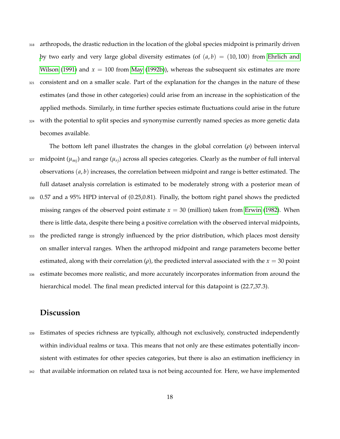- <sup>318</sup> arthropods, the drastic reduction in the location of the global species midpoint is primarily driven [b](#page-23-4)y two early and very large global diversity estimates (of  $(a, b) = (10, 100)$  from [Ehrlich and](#page-23-4) [Wilson](#page-23-4) [\(1991\)](#page-23-4) and  $x = 100$  from [May](#page-24-2) [\(1992b\)](#page-24-2)), whereas the subsequent six estimates are more
- <sup>321</sup> consistent and on a smaller scale. Part of the explanation for the changes in the nature of these estimates (and those in other categories) could arise from an increase in the sophistication of the applied methods. Similarly, in time further species estimate fluctuations could arise in the future
- <sup>324</sup> with the potential to split species and synonymise currently named species as more genetic data becomes available.

The bottom left panel illustrates the changes in the global correlation (*ρ*) between interval  $_{327}$  midpoint ( $\mu_{mi}$ ) and range ( $\mu_{ri}$ ) across all species categories. Clearly as the number of full interval observations (*a*, *b*) increases, the correlation between midpoint and range is better estimated. The full dataset analysis correlation is estimated to be moderately strong with a posterior mean of <sup>330</sup> 0.57 and a 95% HPD interval of (0.25,0.81). Finally, the bottom right panel shows the predicted missing ranges of the observed point estimate  $x = 30$  (million) taken from [Erwin](#page-23-3) [\(1982\)](#page-23-3). When there is little data, despite there being a positive correlation with the observed interval midpoints, <sup>333</sup> the predicted range is strongly influenced by the prior distribution, which places most density on smaller interval ranges. When the arthropod midpoint and range parameters become better estimated, along with their correlation ( $\rho$ ), the predicted interval associated with the  $x = 30$  point

<sup>336</sup> estimate becomes more realistic, and more accurately incorporates information from around the hierarchical model. The final mean predicted interval for this datapoint is (22.7,37.3).

## **Discussion**

<sup>339</sup> Estimates of species richness are typically, although not exclusively, constructed independently within individual realms or taxa. This means that not only are these estimates potentially inconsistent with estimates for other species categories, but there is also an estimation inefficiency in <sup>342</sup> that available information on related taxa is not being accounted for. Here, we have implemented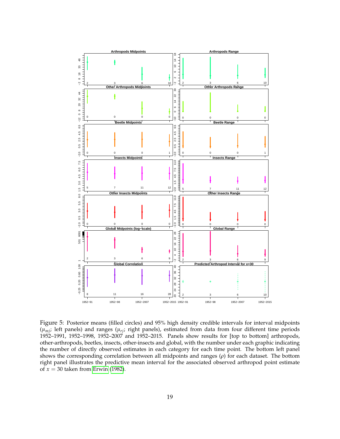<span id="page-18-0"></span>

Figure 5: Posterior means (filled circles) and 95% high density credible intervals for interval midpoints  $(\mu_{mi};$  left panels) and ranges  $(\mu_{ri};$  right panels), estimated from data from four different time periods 1952–1991, 1952–1998, 1952–2007 and 1952–2015. Panels show results for [top to bottom] arthropods, other-arthropods, beetles, insects, other-insects and global, with the number under each graphic indicating the number of directly observed estimates in each category for each time point. The bottom left panel shows the corresponding correlation between all midpoints and ranges (*ρ*) for each dataset. The bottom right panel illustrates the predictive mean interval for the associated observed arthropod point estimate of *x* = 30 taken from [Erwin](#page-23-3) [\(1982\)](#page-23-3).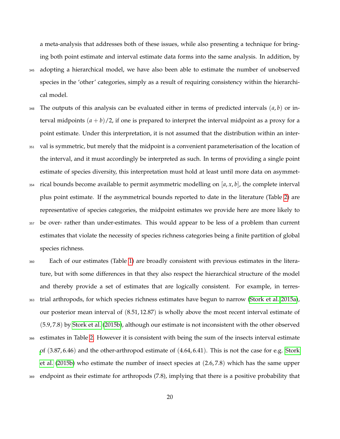a meta-analysis that addresses both of these issues, while also presenting a technique for bringing both point estimate and interval estimate data forms into the same analysis. In addition, by <sup>345</sup> adopting a hierarchical model, we have also been able to estimate the number of unobserved

species in the 'other' categories, simply as a result of requiring consistency within the hierarchical model.

- <sup>348</sup> The outputs of this analysis can be evaluated either in terms of predicted intervals (*a*, *b*) or interval midpoints  $(a + b)/2$ , if one is prepared to interpret the interval midpoint as a proxy for a point estimate. Under this interpretation, it is not assumed that the distribution within an inter-
- <sup>351</sup> val is symmetric, but merely that the midpoint is a convenient parameterisation of the location of the interval, and it must accordingly be interpreted as such. In terms of providing a single point estimate of species diversity, this interpretation must hold at least until more data on asymmet-
- $354$  rical bounds become available to permit asymmetric modelling on  $[a, x, b]$ , the complete interval plus point estimate. If the asymmetrical bounds reported to date in the literature (Table [2\)](#page-27-0) are representative of species categories, the midpoint estimates we provide here are more likely to
- <sup>357</sup> be over- rather than under-estimates. This would appear to be less of a problem than current estimates that violate the necessity of species richness categories being a finite partition of global species richness.
- <sup>360</sup> Each of our estimates (Table [1\)](#page-11-0) are broadly consistent with previous estimates in the literature, but with some differences in that they also respect the hierarchical structure of the model and thereby provide a set of estimates that are logically consistent. For example, in terres-<sup>363</sup> trial arthropods, for which species richness estimates have begun to narrow [\(Stork et al. 2015a\)](#page-26-0), our posterior mean interval of (8.51, 12.87) is wholly above the most recent interval estimate of (5.9, 7.8) by [Stork et al.](#page-26-3) [\(2015b\)](#page-26-3), although our estimate is not inconsistent with the other observed <sup>366</sup> estimates in Table [2.](#page-27-0) However it is consistent with being the sum of the insects interval estimate [o](#page-26-3)f (3.87, 6.46) and the other-arthropod estimate of (4.64, 6.41). This is not the case for e.g. [Stork](#page-26-3) [et al.](#page-26-3) [\(2015b\)](#page-26-3) who estimate the number of insect species at (2.6, 7.8) which has the same upper <sup>369</sup> endpoint as their estimate for arthropods (7.8), implying that there is a positive probability that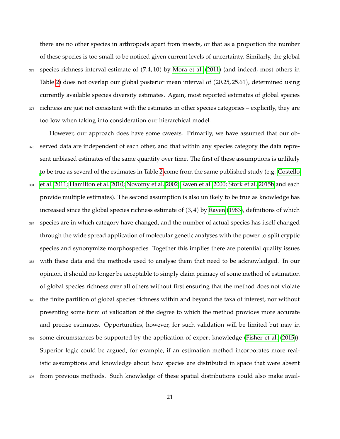there are no other species in arthropods apart from insects, or that as a proportion the number of these species is too small to be noticed given current levels of uncertainty. Similarly, the global <sup>372</sup> species richness interval estimate of (7.4, 10) by [Mora et al.](#page-25-1) [\(2011\)](#page-25-1) (and indeed, most others in Table [2\)](#page-27-0) does not overlap our global posterior mean interval of (20.25, 25.61), determined using currently available species diversity estimates. Again, most reported estimates of global species <sup>375</sup> richness are just not consistent with the estimates in other species categories – explicitly, they are too low when taking into consideration our hierarchical model.

However, our approach does have some caveats. Primarily, we have assumed that our ob-<sup>378</sup> served data are independent of each other, and that within any species category the data represent unbiased estimates of the same quantity over time. The first of these assumptions is unlikely [t](#page-23-5)o be true as several of the estimates in Table [2](#page-27-0) come from the same published study (e.g. [Costello](#page-23-5) <sup>381</sup> [et al. 2011;](#page-23-5) [Hamilton et al. 2010;](#page-23-6) [Novotny et al. 2002;](#page-25-2) [Raven et al. 2000;](#page-25-3) [Stork et al. 2015b](#page-26-3) and each provide multiple estimates). The second assumption is also unlikely to be true as knowledge has increased since the global species richness estimate of  $(3, 4)$  by [Raven](#page-25-4)  $(1983)$ , definitions of which <sup>384</sup> species are in which category have changed, and the number of actual species has itself changed through the wide spread application of molecular genetic analyses with the power to split cryptic species and synonymize morphospecies. Together this implies there are potential quality issues <sup>387</sup> with these data and the methods used to analyse them that need to be acknowledged. In our opinion, it should no longer be acceptable to simply claim primacy of some method of estimation of global species richness over all others without first ensuring that the method does not violate <sup>390</sup> the finite partition of global species richness within and beyond the taxa of interest, nor without presenting some form of validation of the degree to which the method provides more accurate and precise estimates. Opportunities, however, for such validation will be limited but may in <sup>393</sup> some circumstances be supported by the application of expert knowledge [\(Fisher et al.](#page-23-0) [\(2015\)](#page-23-0)). Superior logic could be argued, for example, if an estimation method incorporates more realistic assumptions and knowledge about how species are distributed in space that were absent <sup>396</sup> from previous methods. Such knowledge of these spatial distributions could also make avail-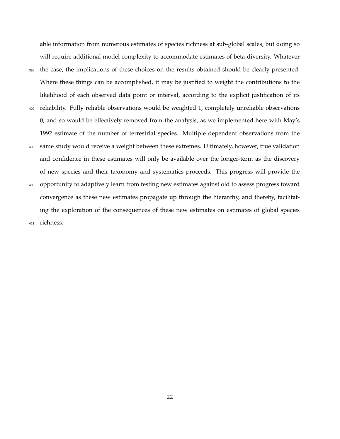able information from numerous estimates of species richness at sub-global scales, but doing so will require additional model complexity to accommodate estimates of beta-diversity. Whatever <sup>399</sup> the case, the implications of these choices on the results obtained should be clearly presented. Where these things can be accomplished, it may be justified to weight the contributions to the likelihood of each observed data point or interval, according to the explicit justification of its <sup>402</sup> reliability. Fully reliable observations would be weighted 1, completely unreliable observations 0, and so would be effectively removed from the analysis, as we implemented here with May's 1992 estimate of the number of terrestrial species. Multiple dependent observations from the <sup>405</sup> same study would receive a weight between these extremes. Ultimately, however, true validation and confidence in these estimates will only be available over the longer-term as the discovery of new species and their taxonomy and systematics proceeds. This progress will provide the <sup>408</sup> opportunity to adaptively learn from testing new estimates against old to assess progress toward convergence as these new estimates propagate up through the hierarchy, and thereby, facilitating the exploration of the consequences of these new estimates on estimates of global species <sup>411</sup> richness.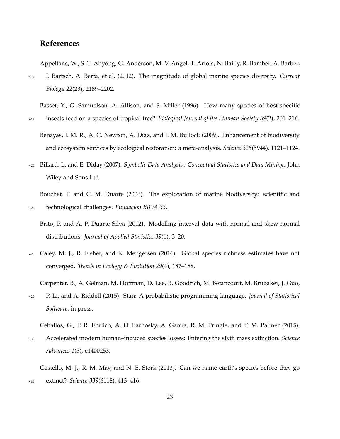# **References**

<span id="page-22-8"></span>Appeltans, W., S. T. Ahyong, G. Anderson, M. V. Angel, T. Artois, N. Bailly, R. Bamber, A. Barber,

<sup>414</sup> I. Bartsch, A. Berta, et al. (2012). The magnitude of global marine species diversity. *Current Biology 22*(23), 2189–2202.

<span id="page-22-9"></span>Basset, Y., G. Samuelson, A. Allison, and S. Miller (1996). How many species of host-specific

- <span id="page-22-3"></span><sup>417</sup> insects feed on a species of tropical tree? *Biological Journal of the Linnean Society 59*(2), 201–216.
	- Benayas, J. M. R., A. C. Newton, A. Diaz, and J. M. Bullock (2009). Enhancement of biodiversity and ecosystem services by ecological restoration: a meta-analysis. *Science 325*(5944), 1121–1124.
- <span id="page-22-4"></span><sup>420</sup> Billard, L. and E. Diday (2007). *Symbolic Data Analysis : Conceptual Statistics and Data Mining*. John Wiley and Sons Ltd.

<span id="page-22-7"></span>Bouchet, P. and C. M. Duarte (2006). The exploration of marine biodiversity: scientific and <sup>423</sup> technological challenges. *Fundación BBVA 33*.

- <span id="page-22-5"></span>Brito, P. and A. P. Duarte Silva (2012). Modelling interval data with normal and skew-normal distributions. *Journal of Applied Statistics 39*(1), 3–20.
- <span id="page-22-0"></span><sup>426</sup> Caley, M. J., R. Fisher, and K. Mengersen (2014). Global species richness estimates have not converged. *Trends in Ecology & Evolution 29*(4), 187–188.

<span id="page-22-6"></span>Carpenter, B., A. Gelman, M. Hoffman, D. Lee, B. Goodrich, M. Betancourt, M. Brubaker, J. Guo,

<sup>429</sup> P. Li, and A. Riddell (2015). Stan: A probabilistic programming language. *Journal of Statistical Software*, in press.

<span id="page-22-2"></span>Ceballos, G., P. R. Ehrlich, A. D. Barnosky, A. García, R. M. Pringle, and T. M. Palmer (2015).

<sup>432</sup> Accelerated modern human–induced species losses: Entering the sixth mass extinction. *Science Advances 1*(5), e1400253.

<span id="page-22-1"></span>Costello, M. J., R. M. May, and N. E. Stork (2013). Can we name earth's species before they go <sup>435</sup> extinct? *Science 339*(6118), 413–416.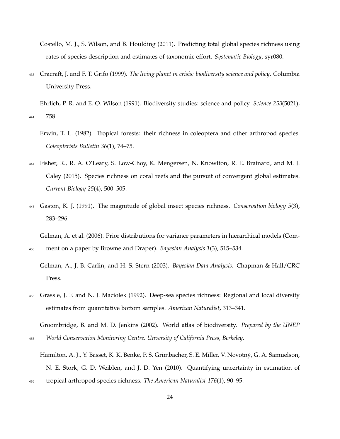<span id="page-23-5"></span>Costello, M. J., S. Wilson, and B. Houlding (2011). Predicting total global species richness using rates of species description and estimates of taxonomic effort. *Systematic Biology*, syr080.

<span id="page-23-7"></span><sup>438</sup> Cracraft, J. and F. T. Grifo (1999). *The living planet in crisis: biodiversity science and policy*. Columbia University Press.

<span id="page-23-4"></span>Ehrlich, P. R. and E. O. Wilson (1991). Biodiversity studies: science and policy. *Science 253*(5021), <sup>441</sup> 758.

- <span id="page-23-3"></span>Erwin, T. L. (1982). Tropical forests: their richness in coleoptera and other arthropod species. *Coleopterists Bulletin 36*(1), 74–75.
- <span id="page-23-0"></span><sup>444</sup> Fisher, R., R. A. O'Leary, S. Low-Choy, K. Mengersen, N. Knowlton, R. E. Brainard, and M. J. Caley (2015). Species richness on coral reefs and the pursuit of convergent global estimates. *Current Biology 25*(4), 500–505.
- <span id="page-23-10"></span><sup>447</sup> Gaston, K. J. (1991). The magnitude of global insect species richness. *Conservation biology 5*(3), 283–296.

<span id="page-23-2"></span>Gelman, A. et al. (2006). Prior distributions for variance parameters in hierarchical models (Com-<sup>450</sup> ment on a paper by Browne and Draper). *Bayesian Analysis 1*(3), 515–534.

<span id="page-23-1"></span>Gelman, A., J. B. Carlin, and H. S. Stern (2003). *Bayesian Data Analysis*. Chapman & Hall/CRC Press.

<span id="page-23-9"></span><sup>453</sup> Grassle, J. F. and N. J. Maciolek (1992). Deep-sea species richness: Regional and local diversity estimates from quantitative bottom samples. *American Naturalist*, 313–341.

<span id="page-23-8"></span>Groombridge, B. and M. D. Jenkins (2002). World atlas of biodiversity. *Prepared by the UNEP* <sup>456</sup> *World Conservation Monitoring Centre. Unversity of California Press, Berkeley*.

<sup>459</sup> tropical arthropod species richness. *The American Naturalist 176*(1), 90–95.

<span id="page-23-6"></span>Hamilton, A. J., Y. Basset, K. K. Benke, P. S. Grimbacher, S. E. Miller, V. Novotny, G. A. Samuelson, ` N. E. Stork, G. D. Weiblen, and J. D. Yen (2010). Quantifying uncertainty in estimation of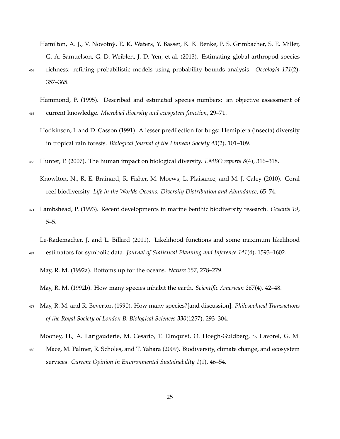<span id="page-24-8"></span>Hamilton, A. J., V. Novotny, E. K. Waters, Y. Basset, K. K. Benke, P. S. Grimbacher, S. E. Miller, ` G. A. Samuelson, G. D. Weiblen, J. D. Yen, et al. (2013). Estimating global arthropod species <sup>462</sup> richness: refining probabilistic models using probability bounds analysis. *Oecologia 171*(2), 357–365.

<span id="page-24-10"></span>Hammond, P. (1995). Described and estimated species numbers: an objective assessment of <sup>465</sup> current knowledge. *Microbial diversity and ecosystem function*, 29–71.

- <span id="page-24-9"></span>Hodkinson, I. and D. Casson (1991). A lesser predilection for bugs: Hemiptera (insecta) diversity in tropical rain forests. *Biological Journal of the Linnean Society 43*(2), 101–109.
- <span id="page-24-5"></span><span id="page-24-0"></span><sup>468</sup> Hunter, P. (2007). The human impact on biological diversity. *EMBO reports 8*(4), 316–318.

Knowlton, N., R. E. Brainard, R. Fisher, M. Moews, L. Plaisance, and M. J. Caley (2010). Coral reef biodiversity. *Life in the Worlds Oceans: Diversity Distribution and Abundance*, 65–74.

<span id="page-24-7"></span><sup>471</sup> Lambshead, P. (1993). Recent developments in marine benthic biodiversity research. *Oceanis 19*, 5–5.

<span id="page-24-4"></span>Le-Rademacher, J. and L. Billard (2011). Likelihood functions and some maximum likelihood <sup>474</sup> estimators for symbolic data. *Journal of Statistical Planning and Inference 141*(4), 1593–1602.

<span id="page-24-3"></span><span id="page-24-2"></span>May, R. M. (1992a). Bottoms up for the oceans. *Nature 357*, 278–279.

May, R. M. (1992b). How many species inhabit the earth. *Scientific American 267*(4), 42–48.

<span id="page-24-6"></span><sup>477</sup> May, R. M. and R. Beverton (1990). How many species?[and discussion]. *Philosophical Transactions of the Royal Society of London B: Biological Sciences 330*(1257), 293–304.

<span id="page-24-1"></span>Mooney, H., A. Larigauderie, M. Cesario, T. Elmquist, O. Hoegh-Guldberg, S. Lavorel, G. M.

<sup>480</sup> Mace, M. Palmer, R. Scholes, and T. Yahara (2009). Biodiversity, climate change, and ecosystem services. *Current Opinion in Environmental Sustainability 1*(1), 46–54.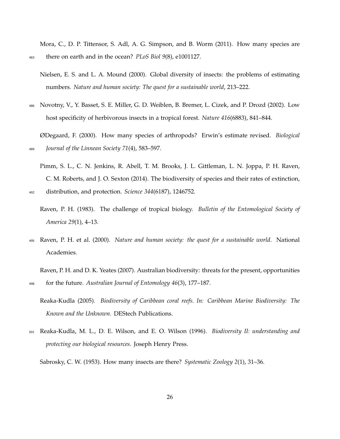<span id="page-25-1"></span>Mora, C., D. P. Tittensor, S. Adl, A. G. Simpson, and B. Worm (2011). How many species are <sup>483</sup> there on earth and in the ocean? *PLoS Biol 9*(8), e1001127.

- <span id="page-25-9"></span>Nielsen, E. S. and L. A. Mound (2000). Global diversity of insects: the problems of estimating numbers. *Nature and human society: The quest for a sustainable world*, 213–222.
- <span id="page-25-2"></span><sup>486</sup> Novotny, V., Y. Basset, S. E. Miller, G. D. Weiblen, B. Bremer, L. Cizek, and P. Drozd (2002). Low host specificity of herbivorous insects in a tropical forest. *Nature 416*(6883), 841–844.

<span id="page-25-7"></span>ØDegaard, F. (2000). How many species of arthropods? Erwin's estimate revised. *Biological* <sup>489</sup> *Journal of the Linnean Society 71*(4), 583–597.

<span id="page-25-0"></span>Pimm, S. L., C. N. Jenkins, R. Abell, T. M. Brooks, J. L. Gittleman, L. N. Joppa, P. H. Raven, C. M. Roberts, and J. O. Sexton (2014). The biodiversity of species and their rates of extinction,

<span id="page-25-4"></span><sup>492</sup> distribution, and protection. *Science 344*(6187), 1246752.

<span id="page-25-3"></span><sup>495</sup> Raven, P. H. et al. (2000). *Nature and human society: the quest for a sustainable world*. National Academies.

<span id="page-25-10"></span>Raven, P. H. and D. K. Yeates (2007). Australian biodiversity: threats for the present, opportunities <sup>498</sup> for the future. *Australian Journal of Entomology 46*(3), 177–187.

<span id="page-25-5"></span><sup>501</sup> Reaka-Kudla, M. L., D. E. Wilson, and E. O. Wilson (1996). *Biodiversity II: understanding and protecting our biological resources*. Joseph Henry Press.

<span id="page-25-8"></span>Sabrosky, C. W. (1953). How many insects are there? *Systematic Zoology 2*(1), 31–36.

Raven, P. H. (1983). The challenge of tropical biology. *Bulletin of the Entomological Society of America 29*(1), 4–13.

<span id="page-25-6"></span>Reaka-Kudla (2005). *Biodiversity of Caribbean coral reefs. In: Caribbean Marine Biodiversity: The Known and the Unknown.* DEStech Publications.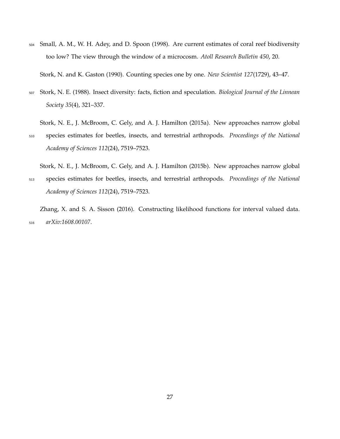<span id="page-26-4"></span><sup>504</sup> Small, A. M., W. H. Adey, and D. Spoon (1998). Are current estimates of coral reef biodiversity too low? The view through the window of a microcosm. *Atoll Research Bulletin 450*, 20.

<span id="page-26-5"></span>Stork, N. and K. Gaston (1990). Counting species one by one. *New Scientist 127*(1729), 43–47.

- <span id="page-26-2"></span><sup>507</sup> Stork, N. E. (1988). Insect diversity: facts, fiction and speculation. *Biological Journal of the Linnean Society 35*(4), 321–337.
- <span id="page-26-0"></span>Stork, N. E., J. McBroom, C. Gely, and A. J. Hamilton (2015a). New approaches narrow global <sup>510</sup> species estimates for beetles, insects, and terrestrial arthropods. *Proceedings of the National Academy of Sciences 112*(24), 7519–7523.

<span id="page-26-3"></span>Stork, N. E., J. McBroom, C. Gely, and A. J. Hamilton (2015b). New approaches narrow global

<sup>513</sup> species estimates for beetles, insects, and terrestrial arthropods. *Proceedings of the National Academy of Sciences 112*(24), 7519–7523.

<span id="page-26-1"></span>Zhang, X. and S. A. Sisson (2016). Constructing likelihood functions for interval valued data. <sup>516</sup> *arXiv:1608.00107*.